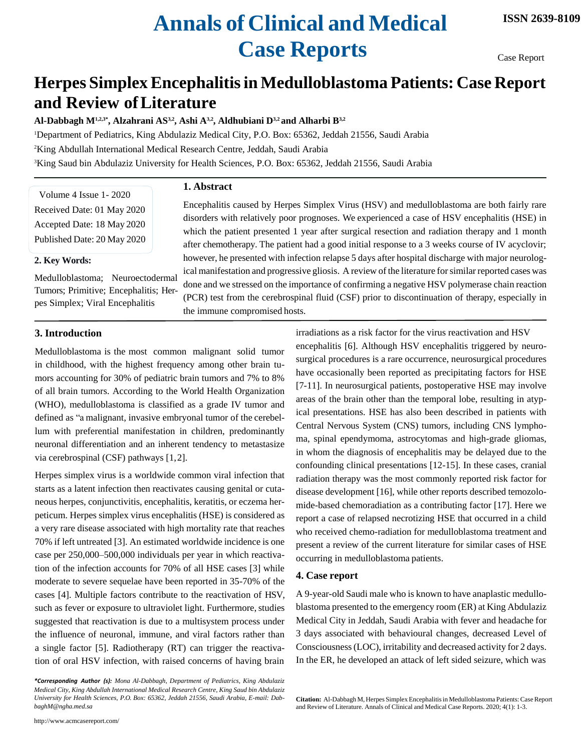# **Annals of Clinical and Medical Case Reports**

Case Report

# **Herpes SimplexEncephalitisin Medulloblastoma Patients: Case Report and Review ofLiterature**

**Al-Dabbagh M1,2,3\*, Alzahrani AS3,2, Ashi A3,2, Aldhubiani D3,2 and Alharbi B3,2**

<sup>1</sup>Department of Pediatrics, King Abdulaziz Medical City, P.O. Box: 65362, Jeddah 21556, Saudi Arabia <sup>2</sup>King Abdullah International Medical Research Centre, Jeddah, Saudi Arabia <sup>3</sup>King Saud bin Abdulaziz University for Health Sciences, P.O. Box: 65362, Jeddah 21556, Saudi Arabia

**1. Abstract**

Volume 4 Issue 1- 2020 Received Date: 01 May 2020 Accepted Date: 18 May 2020 Published Date: 20 May 2020

#### **2. Key Words:**

Medulloblastoma; Neuroectodermal Tumors; Primitive; Encephalitis; Herpes Simplex; Viral Encephalitis

Encephalitis caused by Herpes Simplex Virus (HSV) and medulloblastoma are both fairly rare disorders with relatively poor prognoses. We experienced a case of HSV encephalitis (HSE) in which the patient presented 1 year after surgical resection and radiation therapy and 1 month after chemotherapy. The patient had a good initial response to a 3 weeks course of IV acyclovir; however, he presented with infection relapse 5 days after hospital discharge with major neurological manifestation and progressive gliosis. A review of the literature forsimilar reported cases was done and we stressed on the importance of confirming a negative HSV polymerase chain reaction (PCR) test from the cerebrospinal fluid (CSF) prior to discontinuation of therapy, especially in the immune compromised hosts.

### **3. Introduction**

Medulloblastoma is the most common malignant solid tumor in childhood, with the highest frequency among other brain tumors accounting for 30% of pediatric brain tumors and 7% to 8% of all brain tumors. According to the World Health Organization (WHO), medulloblastoma is classified as a grade IV tumor and defined as "a malignant, invasive embryonal tumor of the cerebellum with preferential manifestation in children, predominantly neuronal differentiation and an inherent tendency to metastasize via cerebrospinal (CSF) pathways [1,2].

Herpes simplex virus is a worldwide common viral infection that starts as a latent infection then reactivates causing genital or cutaneous herpes, conjunctivitis, encephalitis, keratitis, or eczema herpeticum. Herpes simplex virus encephalitis (HSE) is considered as a very rare disease associated with high mortality rate that reaches 70% if left untreated [3]. An estimated worldwide incidence is one case per 250,000–500,000 individuals per year in which reactivation of the infection accounts for 70% of all HSE cases [3] while moderate to severe sequelae have been reported in 35-70% of the cases [4]. Multiple factors contribute to the reactivation of HSV, such as fever or exposure to ultraviolet light. Furthermore, studies suggested that reactivation is due to a multisystem process under the influence of neuronal, immune, and viral factors rather than a single factor [5]. Radiotherapy (RT) can trigger the reactivation of oral HSV infection, with raised concerns of having brain

<http://www.acmcasereport.com/>

irradiations as a risk factor for the virus reactivation and HSV encephalitis [6]. Although HSV encephalitis triggered by neurosurgical procedures is a rare occurrence, neurosurgical procedures have occasionally been reported as precipitating factors for HSE [7-11]. In neurosurgical patients, postoperative HSE may involve areas of the brain other than the temporal lobe, resulting in atypical presentations. HSE has also been described in patients with Central Nervous System (CNS) tumors, including CNS lymphoma, spinal ependymoma, astrocytomas and high-grade gliomas, in whom the diagnosis of encephalitis may be delayed due to the confounding clinical presentations [12-15]. In these cases, cranial radiation therapy was the most commonly reported risk factor for disease development [16], while other reports described temozolomide-based chemoradiation as a contributing factor [17]. Here we report a case of relapsed necrotizing HSE that occurred in a child who received chemo-radiation for medulloblastoma treatment and present a review of the current literature for similar cases of HSE occurring in medulloblastoma patients.

#### **4. Case report**

A 9-year-old Saudi male who is known to have anaplastic medulloblastoma presented to the emergency room (ER) at King Abdulaziz Medical City in Jeddah, Saudi Arabia with fever and headache for 3 days associated with behavioural changes, decreased Level of Consciousness(LOC), irritability and decreased activity for 2 days. In the ER, he developed an attack of left sided seizure, which was

*<sup>\*</sup>Corresponding Author (s): Mona Al-Dabbagh, Department of Pediatrics, King Abdulaziz Medical City, King Abdullah International Medical Research Centre, King Saud bin Abdulaziz University for Health Sciences, P.O. Box: 65362, Jeddah 21556, Saudi Arabia, E-mail: Dab[baghM@ngha.med.sa](mailto:baghM@ngha.med.sa)*

**Citation:** Al-Dabbagh M, Herpes Simplex Encephalitis in Medulloblastoma Patients: Case Report and Review of Literature. Annals of Clinical and Medical Case Reports. 2020; 4(1): 1-3.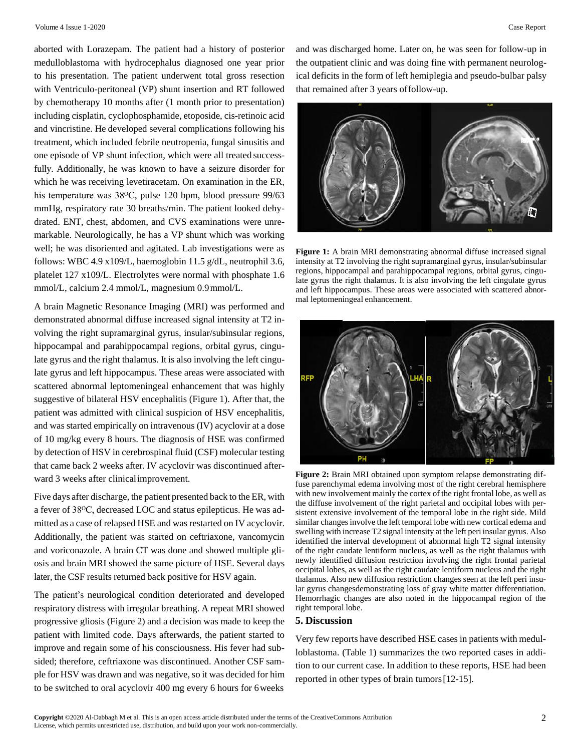aborted with Lorazepam. The patient had a history of posterior medulloblastoma with hydrocephalus diagnosed one year prior to his presentation. The patient underwent total gross resection with Ventriculo-peritoneal (VP) shunt insertion and RT followed by chemotherapy 10 months after (1 month prior to presentation) including cisplatin, cyclophosphamide, etoposide, cis-retinoic acid and vincristine. He developed several complications following his treatment, which included febrile neutropenia, fungal sinusitis and one episode of VP shunt infection, which were all treated successfully. Additionally, he was known to have a seizure disorder for which he was receiving levetiracetam. On examination in the ER, his temperature was 38<sup>o</sup>C, pulse 120 bpm, blood pressure 99/63 mmHg, respiratory rate 30 breaths/min. The patient looked dehydrated. ENT, chest, abdomen, and CVS examinations were unremarkable. Neurologically, he has a VP shunt which was working well; he was disoriented and agitated. Lab investigations were as follows: WBC 4.9 x109/L, haemoglobin 11.5 g/dL, neutrophil 3.6, platelet 127 x109/L. Electrolytes were normal with phosphate 1.6 mmol/L, calcium 2.4 mmol/L, magnesium 0.9mmol/L.

A brain Magnetic Resonance Imaging (MRI) was performed and demonstrated abnormal diffuse increased signal intensity at T2 involving the right supramarginal gyrus, insular/subinsular regions, hippocampal and parahippocampal regions, orbital gyrus, cingulate gyrus and the right thalamus. It is also involving the left cingulate gyrus and left hippocampus. These areas were associated with scattered abnormal leptomeningeal enhancement that was highly suggestive of bilateral HSV encephalitis (Figure 1). After that, the patient was admitted with clinical suspicion of HSV encephalitis, and was started empirically on intravenous (IV) acyclovir at a dose of 10 mg/kg every 8 hours. The diagnosis of HSE was confirmed by detection of HSV in cerebrospinal fluid (CSF) molecular testing that came back 2 weeks after. IV acyclovir was discontinued afterward 3 weeks after clinicalimprovement.

Five days after discharge, the patient presented back to the ER, with a fever of 38ᴼC, decreased LOC and status epilepticus. He was admitted as a case of relapsed HSE and was restarted on IV acyclovir. Additionally, the patient was started on ceftriaxone, vancomycin and voriconazole. A brain CT was done and showed multiple gliosis and brain MRI showed the same picture of HSE. Several days later, the CSF results returned back positive for HSV again.

The patient's neurological condition deteriorated and developed respiratory distress with irregular breathing. A repeat MRI showed progressive gliosis (Figure 2) and a decision was made to keep the patient with limited code. Days afterwards, the patient started to improve and regain some of his consciousness. His fever had subsided; therefore, ceftriaxone was discontinued. Another CSF sample for HSV was drawn and was negative, so it was decided for him to be switched to oral acyclovir 400 mg every 6 hours for 6weeks

and was discharged home. Later on, he was seen for follow-up in the outpatient clinic and was doing fine with permanent neurological deficits in the form of left hemiplegia and pseudo-bulbar palsy that remained after 3 years offollow-up.



Figure 1: A brain MRI demonstrating abnormal diffuse increased signal intensity at T2 involving the right supramarginal gyrus, insular/subinsular regions, hippocampal and parahippocampal regions, orbital gyrus, cingulate gyrus the right thalamus. It is also involving the left cingulate gyrus and left hippocampus. These areas were associated with scattered abnormal leptomeningeal enhancement.



**Figure 2:** Brain MRI obtained upon symptom relapse demonstrating diffuse parenchymal edema involving most of the right cerebral hemisphere with new involvement mainly the cortex of the right frontal lobe, as well as the diffuse involvement of the right parietal and occipital lobes with persistent extensive involvement of the temporal lobe in the right side. Mild similar changes involve the left temporal lobe with new cortical edema and swelling with increase T2 signal intensity at the left peri insular gyrus. Also identified the interval development of abnormal high T2 signal intensity of the right caudate lentiform nucleus, as well as the right thalamus with newly identified diffusion restriction involving the right frontal parietal occipital lobes, as well as the right caudate lentiform nucleus and the right thalamus. Also new diffusion restriction changes seen at the left peri insular gyrus changesdemonstrating loss of gray white matter differentiation. Hemorrhagic changes are also noted in the hippocampal region of the right temporal lobe.

## **5. Discussion**

Very few reports have described HSE cases in patients with medulloblastoma. (Table 1) summarizes the two reported cases in addition to our current case. In addition to these reports, HSE had been reported in other types of brain tumors[12-15].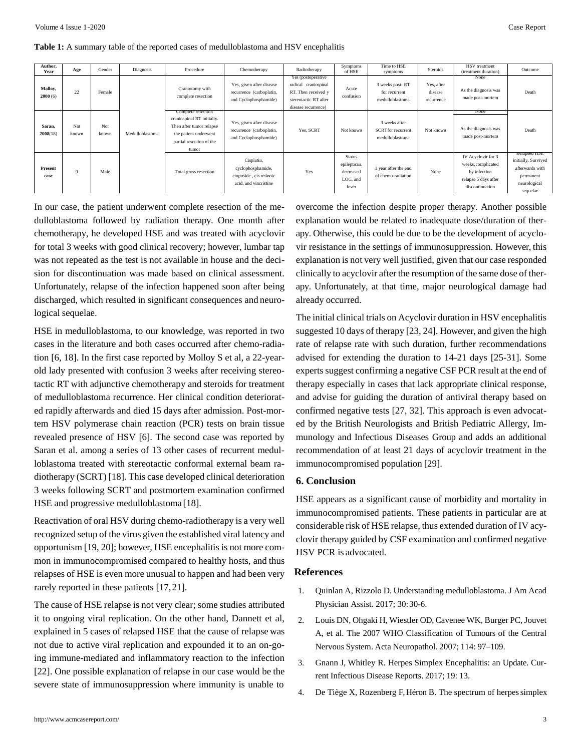**Table 1:** A summary table of the reported cases of medulloblastoma and HSV encephalitis

| Author,<br>Year    | Age          | Gender       | Diagnosis       | Procedure                                                                                                                                  | Chemotherapy                                                                        | Radiotherapy                                                                                                      | Symptoms<br>of HSE                                              | Time to HSE<br>symptoms                                      | <b>Steroids</b>                     | <b>HSV</b> treatment<br>(treatment duration)                                                        | Outcome                                                                                                |
|--------------------|--------------|--------------|-----------------|--------------------------------------------------------------------------------------------------------------------------------------------|-------------------------------------------------------------------------------------|-------------------------------------------------------------------------------------------------------------------|-----------------------------------------------------------------|--------------------------------------------------------------|-------------------------------------|-----------------------------------------------------------------------------------------------------|--------------------------------------------------------------------------------------------------------|
| Malloy,<br>2000(6) | 22           | Female       | Medulloblastoma | Craniotomy with<br>complete resection                                                                                                      | Yes, given after disease<br>recurrence (carboplatin,<br>and Cyclophosphamide)       | Yes (postoperative<br>radical craniospinal<br>RT. Then received y<br>stereotactic RT after<br>disease recurrence) | Acute<br>confusion                                              | 3 weeks post-RT<br>for recurrent<br>medulloblastoma          | Yes, after<br>disease<br>recurrence | None<br>As the diagnosis was<br>made post-mortem                                                    | Death                                                                                                  |
| Saran,<br>2008(18) | Not<br>known | Not<br>known |                 | Complete resection<br>craniospinal RT initially.<br>Then after tumor relapse<br>the patient underwent<br>partial resection of the<br>tumor | Yes, given after disease<br>recurrence (carboplatin,<br>and Cyclophosphamide)       | Yes, SCRT                                                                                                         | Not known                                                       | 3 weeks after<br><b>SCRTfor recurrent</b><br>medulloblastoma | Not known                           | <b>TVOIIC</b><br>As the diagnosis was<br>made post-mortem                                           | Death                                                                                                  |
| Present<br>case    | $\mathbf Q$  | Male         |                 | Total gross resection                                                                                                                      | Cisplatin,<br>cyclophosphamide,<br>etoposide, cis retinoic<br>acid, and vincristine | Yes                                                                                                               | <b>Status</b><br>epilepticus,<br>decreased<br>LOC. and<br>fever | 1 year after the end<br>of chemo-radiation                   | None                                | IV Acyclovir for 3<br>weeks, complicated<br>by infection<br>relapse 5 days after<br>discontinuation | <b>Relapsed HSE</b><br>initially. Survived<br>afterwards with<br>permanent<br>neurological<br>sequelae |

In our case, the patient underwent complete resection of the medulloblastoma followed by radiation therapy. One month after chemotherapy, he developed HSE and was treated with acyclovir for total 3 weeks with good clinical recovery; however, lumbar tap was not repeated as the test is not available in house and the decision for discontinuation was made based on clinical assessment. Unfortunately, relapse of the infection happened soon after being discharged, which resulted in significant consequences and neurological sequelae.

HSE in medulloblastoma, to our knowledge, was reported in two cases in the literature and both cases occurred after chemo-radiation [6, 18]. In the first case reported by Molloy S et al, a 22-yearold lady presented with confusion 3 weeks after receiving stereotactic RT with adjunctive chemotherapy and steroids for treatment of medulloblastoma recurrence. Her clinical condition deteriorated rapidly afterwards and died 15 days after admission. Post-mortem HSV polymerase chain reaction (PCR) tests on brain tissue revealed presence of HSV [6]. The second case was reported by Saran et al. among a series of 13 other cases of recurrent medulloblastoma treated with stereotactic conformal external beam radiotherapy (SCRT) [18]. This case developed clinical deterioration 3 weeks following SCRT and postmortem examination confirmed HSE and progressive medulloblastoma [18].

Reactivation of oral HSV during chemo-radiotherapy is a very well recognized setup of the virus given the established viral latency and opportunism [19, 20]; however, HSE encephalitis is not more common in immunocompromised compared to healthy hosts, and thus relapses of HSE is even more unusual to happen and had been very rarely reported in these patients [17,21].

The cause of HSE relapse is not very clear; some studies attributed it to ongoing viral replication. On the other hand, Dannett et al, explained in 5 cases of relapsed HSE that the cause of relapse was not due to active viral replication and expounded it to an on-going immune-mediated and inflammatory reaction to the infection [22]. One possible explanation of relapse in our case would be the severe state of immunosuppression where immunity is unable to overcome the infection despite proper therapy. Another possible explanation would be related to inadequate dose/duration of therapy. Otherwise, this could be due to be the development of acyclovir resistance in the settings of immunosuppression. However, this explanation is not very well justified, given that our case responded clinically to acyclovir after the resumption of the same dose of therapy. Unfortunately, at that time, major neurological damage had already occurred.

The initial clinical trials on Acyclovir duration in HSV encephalitis suggested 10 days of therapy [23, 24]. However, and given the high rate of relapse rate with such duration, further recommendations advised for extending the duration to 14-21 days [25-31]. Some experts suggest confirming a negative CSF PCR result at the end of therapy especially in cases that lack appropriate clinical response, and advise for guiding the duration of antiviral therapy based on confirmed negative tests [27, 32]. This approach is even advocated by the British Neurologists and British Pediatric Allergy, Immunology and Infectious Diseases Group and adds an additional recommendation of at least 21 days of acyclovir treatment in the immunocompromised population [29].

#### **6. Conclusion**

HSE appears as a significant cause of morbidity and mortality in immunocompromised patients. These patients in particular are at considerable risk of HSE relapse, thus extended duration of IV acyclovir therapy guided by CSF examination and confirmed negative HSV PCR is advocated.

#### **References**

- 1. Quinlan A, Rizzolo D. Understanding [medulloblastoma.](https://pubmed.ncbi.nlm.nih.gov/28953021/) J Am Aca[d](https://pubmed.ncbi.nlm.nih.gov/28953021/) Physician Assist. 2017; 30:30-6.
- 2. Louis DN, Ohgaki H, Wiestler OD, [Cavenee](https://www.ncbi.nlm.nih.gov/pmc/articles/PMC1929165/) WK, Burger PC, Jouve[t](https://www.ncbi.nlm.nih.gov/pmc/articles/PMC1929165/) A, et al. The 2007 WHO Classification of Tumours of the Centra[l](https://www.ncbi.nlm.nih.gov/pmc/articles/PMC1929165/) Nervous System. Acta [Neuropathol.](https://www.ncbi.nlm.nih.gov/pmc/articles/PMC1929165/) 2007; 114: 97–109.
- 3. [Gnann J, Whitley R. Herpes Simplex Encephalitis: an Update. Cur](https://pubmed.ncbi.nlm.nih.gov/28251511/)rent Infectious Disease Reports. 2017; 19: 13.
- 4. [De Tiège X, Rozenberg F, Héron B. The spectrum of herpessimplex](https://pubmed.ncbi.nlm.nih.gov/17870623/)